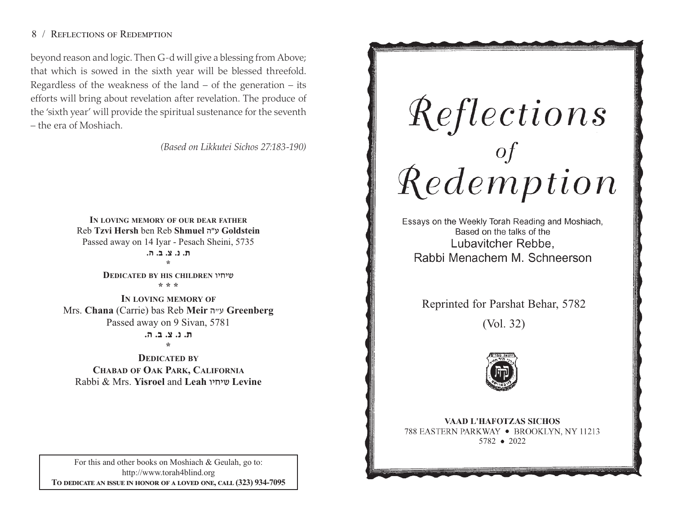# 8 / REFLECTIONS OF REDEMPTION

beyond reason and logic. Then G-d will give <sup>a</sup> blessing from Above; that which is sowed in the sixth year will be blessed threefold. Regardless of the weakness of the land  $-$  of the generation  $-$  its efforts will bring about revelation after revelation. The produce of the 'sixth year' will provide the spiritual sustenance for the seventh – the era of Moshiach.

*(Based on Likkutei Sichos 27:183-190)*

**IN LOVING MEMORY OF OUR DEAR FATHER** Reb **Tzvi Hersh** ben Reb **Shmuel** v"g **Goldstein**  Passed away on 14 Iyar - Pesach Sheini, 5735 **/v /c /m /b /, \* DEDICATED BY HIS CHILDREN** uhjha **\* \* \*** 

**IN LOVING MEMORY OF** Mrs. **Chana** (Carrie) bas Reb **Meir** v"g **Greenberg**  Passed away on 9 Sivan, 5781 **/v /c /m /b /,** 

**\*** 

**DEDICATED BY CHABAD OF OAK PARK, CALIFORNIA** Rabbi & Mrs. **Yisroel** and **Leah** uhjha **Levine**

For this and other books on Moshiach & Geulah, go to: http://www.torah4blind.org To dedicate an issue in honor of a loved one, call (323) 934-7095

Reflections<br>of of persons

Essays on the Weekly Torah Reading and Moshiach, Based on the talks of the Lubavitcher Rebbe. Rabbi Menachem M. Schneerson

Reprinted for Parshat Behar, 5782

(Vol. 32)



**VAAD L'HAFOTZAS SICHOS** 788 EASTERN PARKWAY • BROOKLYN, NY 11213 5782 2022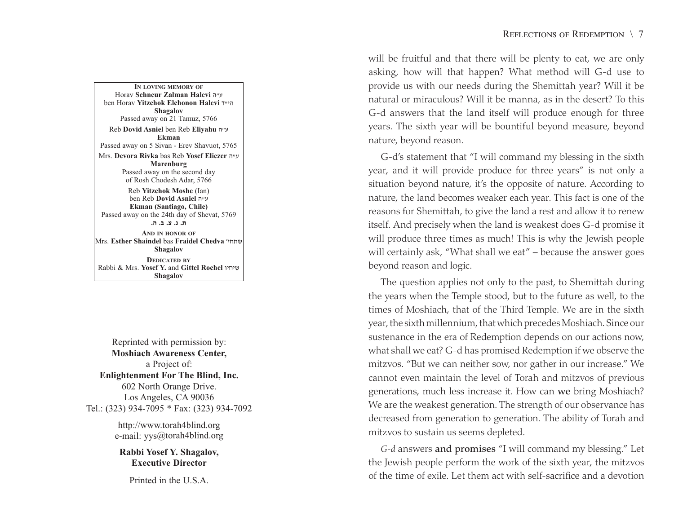**IN LOVING MEMORY OF**Horav **Schneur Zalman Halevi** v"g ben Horav **Yitzchok Elchonon Halevi** s"hv **Shagalov** Passed away on 21 Tamuz, 5766 Reb **Dovid Asniel** ben Reb **Eliyahu** <sup>v</sup>"g **Ekman**Passed away on 5 Sivan - Erev Shavuot, 5765 Mrs. **Devora Rivka** bas Reb **Yosef Eliezer** v"g **Marenburg** Passed away on the second day of Rosh Chodesh Adar, 5766 Reb **Yitzchok Moshe** (Ian) ben Reb **Dovid Asniel** v"g **Ekman (Santiago, Chile)** Passed away on the 24th day of Shevat, 5769 **/v /c /m /b /,AND IN HONOR OF** Mrs. **Esther Shaindel** bas **Fraidel Chedva** whj,a **Shagalov DEDICATED BY**Rabbi & Mrs. **Yosef Y.** and **Gittel Rochel** uhjha

Reprinted with permission by: **Moshiach Awareness Center,** a Project of: **Enlightenment For The Blind, Inc.** 602 North Orange Drive. Los Angeles, CA 90036 Tel.: (323) 934-7095 \* Fax: (323) 934-7092

**Shagalov**

http://www.torah4blind.org e-mail: yys@torah4blind.org

**Rabbi Yosef Y. Shagalov, Executive Director**

Printed in the U.S.A.

will be fruitful and that there will be plenty to eat, we are only asking, how will that happen? What method will G-d use to provide us with our needs during the Shemittah year? Will it be natural or miraculous? Will it be manna, as in the desert? To this G-d answers that the land itself will produce enough for three years. The sixth year will be bountiful beyond measure, beyond nature, beyond reason.

G-d's statement that "I will command my blessing in the sixth year, and it will provide produce for three years" is not only a situation beyond nature, it's the opposite of nature. According to nature, the land becomes weaker each year. This fact is one of the reasons for Shemittah, to give the land a rest and allow it to renew itself. And precisely when the land is weakest does G-d promise it will produce three times as much! This is why the Jewish people will certainly ask, "What shall we eat" – because the answer goes beyond reason and logic.

The question applies not only to the past, to Shemittah during the years when the Temple stood, but to the future as well, to the times of Moshiach, that of the Third Temple. We are in the sixth year, the sixth millennium, that which precedes Moshiach. Since our sustenance in the era of Redemption depends on our actions now, what shall we eat? G-d has promised Redemption if we observe the mitzvos. "But we can neither sow, nor gather in our increase." We cannot even maintain the level of Torah and mitzvos of previous generations, much less increase it. How can we bring Moshiach? We are the weakest generation. The strength of our observance has decreased from generation to generation. The ability of Torah and mitzvos to sustain us seems depleted.

*G-d* answers and promises "I will command my blessing." Let the Jewish people perform the work of the sixth year, the mitzvos of the time of exile. Let them act with self-sacrifice and a devotion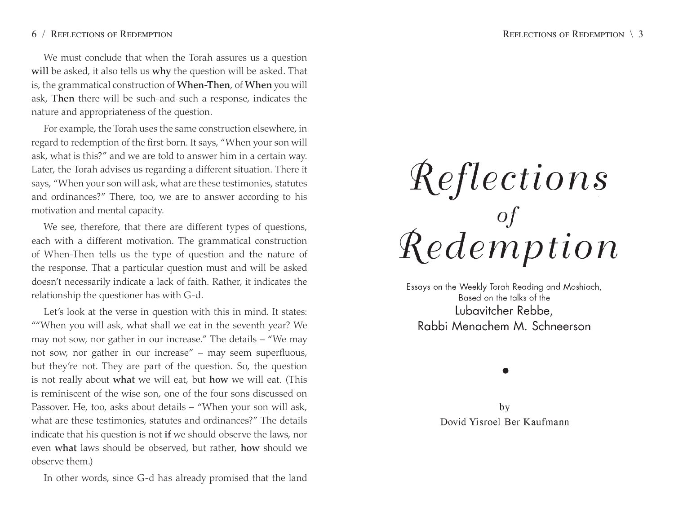## 6 / REFLECTIONS OF REDEMPTION

We must conclude that when the Torah assures us <sup>a</sup> question will be asked, it also tells us why the question will be asked. That is, the grammatical construction of When-Then, of When you will ask, Then there will be such-and-such <sup>a</sup> response, indicates the nature and appropriateness of the question.

For example, the Torah uses the same construction elsewhere, in regard to redemption of the first born. It says, "When your son will ask, what is this?" and we are told to answer him in a certain way. Later, the Torah advises us regarding a different situation. There it says, "When your son will ask, what are these testimonies, statutes and ordinances?" There, too, we are to answer according to his motivation and mental capacity.

We see, therefore, that there are different types of questions, each with a different motivation. The grammatical construction of When-Then tells us the type of question and the nature of the response. That a particular question must and will be asked doesn't necessarily indicate <sup>a</sup> lack of faith. Rather, it indicates the relationship the questioner has with G-d.

Let's look at the verse in question with this in mind. It states: ""When you will ask, what shall we eat in the seventh year? We may not sow, nor gather in our increase." The details – "We may not sow, nor gather in our increase" – may seem superfluous, but they're not. They are part of the question. So, the question is not really about what we will eat, but how we will eat. (This is reminiscent of the wise son, one of the four sons discussed on Passover. He, too, asks about details – "When your son will ask, what are these testimonies, statutes and ordinances?" The details indicate that his question is not if we should observe the laws, nor even what laws should be observed, but rather, how should we observe them.)

In other words, since G-d has already promised that the land

# Reflections<br>demption

Essays on the Weekly Torah Reading and Moshiach, Based on the talks of the Lubavitcher Rebbe. Rabbi Menachem M. Schneerson

by Dovid Yisroel Ber Kaufmann